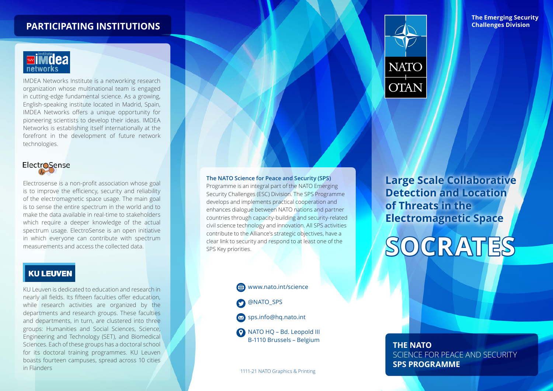## **PARTICIPATING INSTITUTIONS**



IMDEA Networks Institute is a networking research organization whose multinational team is engaged in cutting-edge fundamental science. As a growing, English-speaking institute located in Madrid, Spain, IMDEA Networks offers a unique opportunity for pioneering scientists to develop their ideas. IMDEA Networks is establishing itself internationally at the forefront in the development of future network technologies.

# **ElectroSense**

Electrosense is a non-profit association whose goal is to improve the efficiency, security and reliability of the electromagnetic space usage. The main goal is to sense the entire spectrum in the world and to make the data available in real-time to stakeholders which require a deeper knowledge of the actual spectrum usage. ElectroSense is an open initiative in which everyone can contribute with spectrum measurements and access the collected data.

#### **KU LEUVEN**

KU Leuven is dedicated to education and research in nearly all fields. Its fifteen faculties offer education, while research activities are organized by the departments and research groups. These faculties and departments, in turn, are clustered into three groups: Humanities and Social Sciences, Science, Engineering and Technology (SET), and Biomedical Sciences. Each of these groups has a doctoral school for its doctoral training programmes. KU Leuven boasts fourteen campuses, spread across 10 cities in Flanders 1111-21 NATO Graphics & Printing

**The NATO Science for Peace and Security (SPS)**  Programme is an integral part of the NATO Emerging Security Challenges (ESC) Division. The SPS Programme develops and implements practical cooperation and enhances dialogue between NATO nations and partner countries through capacity-building and security-related civil science technology and innovation. All SPS activities contribute to the Alliance's strategic objectives, have a clear link to security and respond to at least one of the SPS Key priorities.

# www.nato.int/science @NATO\_SPS



NATO HQ – Bd. Leopold III B-1110 Brussels – Belgium



**The Emerging Security Challenges Division**

**Large Scale Collaborative Detection and Location of Threats in the Electromagnetic Space**



#### **THE NATO**  SCIENCE FOR PEACE AND SECURITY **SPS PROGRAMME**